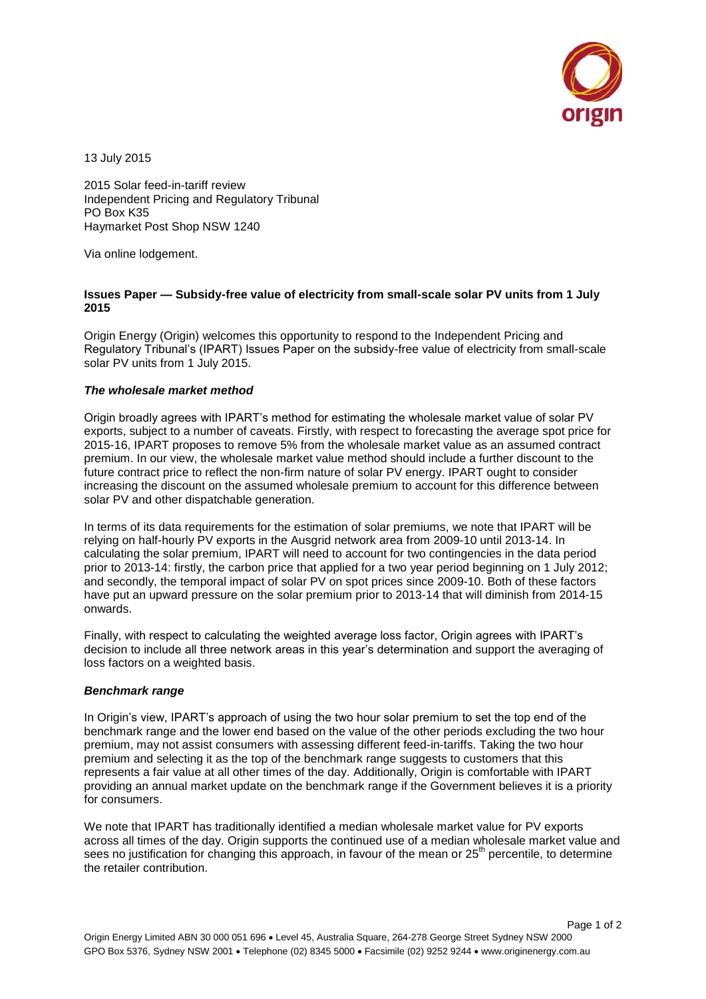

13 July 2015

2015 Solar feed-in-tariff review Independent Pricing and Regulatory Tribunal PO Box K35 Haymarket Post Shop NSW 1240

Via online lodgement.

## **Issues Paper — Subsidy-free value of electricity from small-scale solar PV units from 1 July 2015**

Origin Energy (Origin) welcomes this opportunity to respond to the Independent Pricing and Regulatory Tribunal's (IPART) Issues Paper on the subsidy-free value of electricity from small-scale solar PV units from 1 July 2015.

## *The wholesale market method*

Origin broadly agrees with IPART's method for estimating the wholesale market value of solar PV exports, subject to a number of caveats. Firstly, with respect to forecasting the average spot price for 2015-16, IPART proposes to remove 5% from the wholesale market value as an assumed contract premium. In our view, the wholesale market value method should include a further discount to the future contract price to reflect the non-firm nature of solar PV energy. IPART ought to consider increasing the discount on the assumed wholesale premium to account for this difference between solar PV and other dispatchable generation.

In terms of its data requirements for the estimation of solar premiums, we note that IPART will be relying on half-hourly PV exports in the Ausgrid network area from 2009-10 until 2013-14. In calculating the solar premium, IPART will need to account for two contingencies in the data period prior to 2013-14: firstly, the carbon price that applied for a two year period beginning on 1 July 2012; and secondly, the temporal impact of solar PV on spot prices since 2009-10. Both of these factors have put an upward pressure on the solar premium prior to 2013-14 that will diminish from 2014-15 onwards.

Finally, with respect to calculating the weighted average loss factor, Origin agrees with IPART's decision to include all three network areas in this year's determination and support the averaging of loss factors on a weighted basis.

## *Benchmark range*

In Origin's view, IPART's approach of using the two hour solar premium to set the top end of the benchmark range and the lower end based on the value of the other periods excluding the two hour premium, may not assist consumers with assessing different feed-in-tariffs. Taking the two hour premium and selecting it as the top of the benchmark range suggests to customers that this represents a fair value at all other times of the day. Additionally, Origin is comfortable with IPART providing an annual market update on the benchmark range if the Government believes it is a priority for consumers.

We note that IPART has traditionally identified a median wholesale market value for PV exports across all times of the day. Origin supports the continued use of a median wholesale market value and sees no justification for changing this approach, in favour of the mean or 25<sup>th</sup> percentile, to determine the retailer contribution.